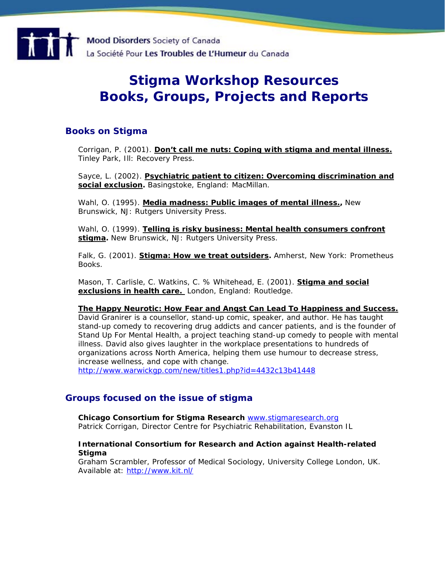

# **Stigma Workshop Resources Books, Groups, Projects and Reports**

## **Books on Stigma**

Corrigan, P. (2001). **Don't call me nuts: Coping with stigma and mental illness.**  Tinley Park, Ill: Recovery Press.

Sayce, L. (2002). **Psychiatric patient to citizen: Overcoming discrimination and social exclusion.** Basingstoke, England: MacMillan.

Wahl, O. (1995). **Media madness: Public images of mental illness.,** New Brunswick, NJ: Rutgers University Press.

Wahl, O. (1999). **Telling is risky business: Mental health consumers confront stigma.** New Brunswick, NJ: Rutgers University Press.

Falk, G. (2001). **Stigma: How we treat outsiders.** Amherst, New York: Prometheus Books.

Mason, T. Carlisle, C. Watkins, C. % Whitehead, E. (2001). **Stigma and social exclusions in health care.** London, England: Routledge.

#### **The Happy Neurotic: How Fear and Angst Can Lead To Happiness and Success.**

David Granirer is a counsellor, stand-up comic, speaker, and author. He has taught stand-up comedy to recovering drug addicts and cancer patients, and is the founder of Stand Up For Mental Health, a project teaching stand-up comedy to people with mental illness. David also gives laughter in the workplace presentations to hundreds of organizations across North America, helping them use humour to decrease stress, increase wellness, and cope with change. <http://www.warwickgp.com/new/titles1.php?id=4432c13b41448>

## **Groups focused on the issue of stigma**

**Chicago Consortium for Stigma Research** [www.stigmaresearch.org](http://www.stigmaresearch.org/) 

Patrick Corrigan, Director Centre for Psychiatric Rehabilitation, Evanston IL

#### **International Consortium for Research and Action against Health-related Stigma**

Graham Scrambler, Professor of Medical Sociology, University College London, UK. Available at: [http://www.kit.nl/](http://www.kit.nl/frameset.asp?/development/html/products___services.asp&frnr=1&ItemID=2538)